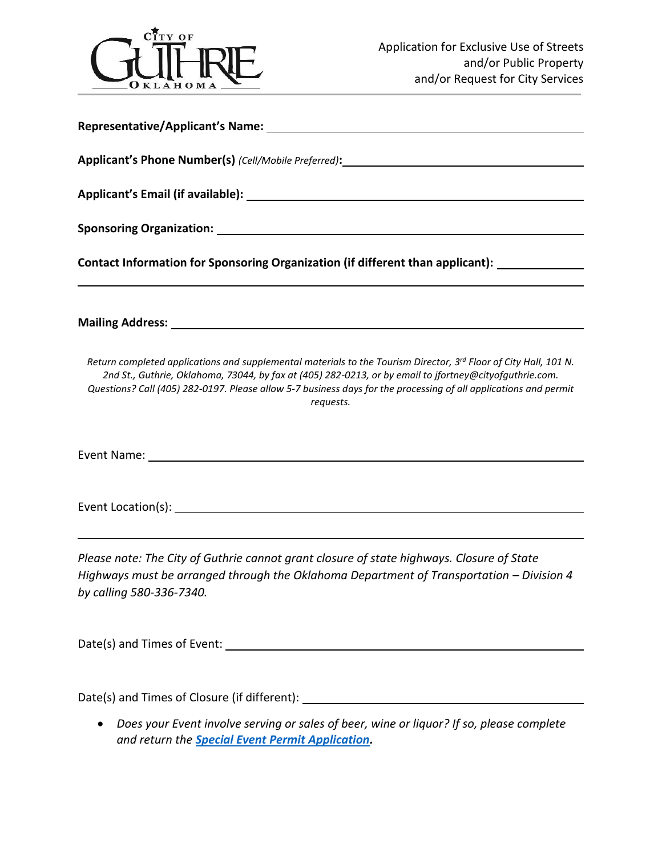

| Contact Information for Sponsoring Organization (if different than applicant): ____________________                                                                                                                                                                                                                                                          |  |  |  |  |  |  |  |
|--------------------------------------------------------------------------------------------------------------------------------------------------------------------------------------------------------------------------------------------------------------------------------------------------------------------------------------------------------------|--|--|--|--|--|--|--|
|                                                                                                                                                                                                                                                                                                                                                              |  |  |  |  |  |  |  |
| Return completed applications and supplemental materials to the Tourism Director, 3rd Floor of City Hall, 101 N.<br>2nd St., Guthrie, Oklahoma, 73044, by fax at (405) 282-0213, or by email to ifortney@cityofquthrie.com.<br>Questions? Call (405) 282-0197. Please allow 5-7 business days for the processing of all applications and permit<br>requests. |  |  |  |  |  |  |  |
|                                                                                                                                                                                                                                                                                                                                                              |  |  |  |  |  |  |  |
|                                                                                                                                                                                                                                                                                                                                                              |  |  |  |  |  |  |  |
| Please note: The City of Guthrie cannot grant closure of state highways. Closure of State<br>Highways must be arranged through the Oklahoma Department of Transportation - Division 4<br>by calling 580-336-7340.                                                                                                                                            |  |  |  |  |  |  |  |
|                                                                                                                                                                                                                                                                                                                                                              |  |  |  |  |  |  |  |

Date(s) and Times of Closure (if different): \_\_\_\_\_\_\_\_\_\_\_\_\_\_\_\_\_\_\_\_\_\_\_\_\_\_\_\_\_\_\_\_\_\_\_

 *Does your Event involve serving or sales of beer, wine or liquor? If so, please complete and return the [Special Event Permit Application.](http://www.cityofguthrie.com/DocumentCenter/View/3790)*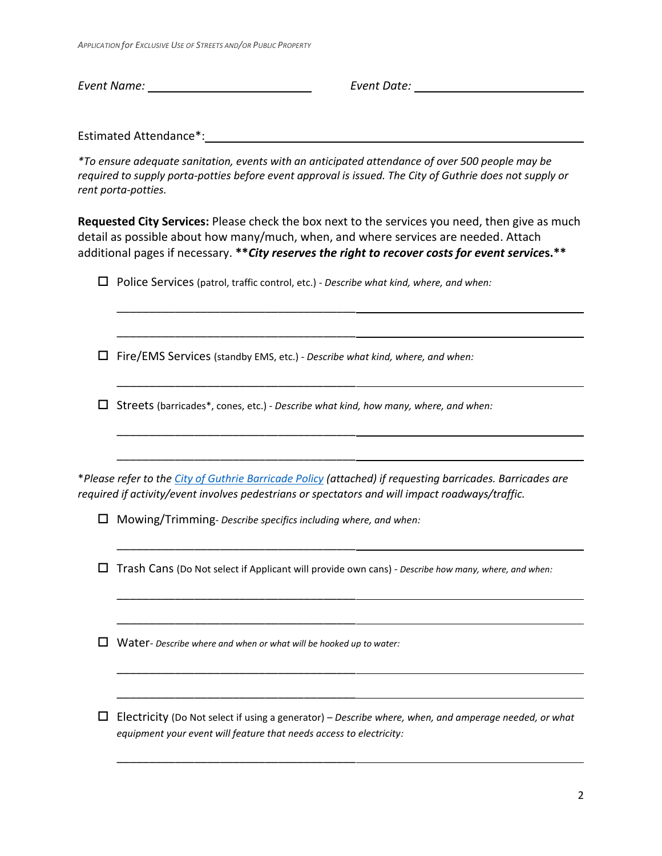*APPLICATION for EXCLUSIVE USE OF STREETS AND/OR PUBLIC PROPERTY*

*Event Name: Event Date:* 

Estimated Attendance\*:

*\*To ensure adequate sanitation, events with an anticipated attendance of over 500 people may be required to supply porta-potties before event approval is issued. The City of Guthrie does not supply or rent porta-potties.*

**Requested City Services:** Please check the box next to the services you need, then give as much detail as possible about how many/much, when, and where services are needed. Attach additional pages if necessary. **\*\****City reserves the right to recover costs for event service***s.\*\***

Police Services (patrol, traffic control, etc.) - *Describe what kind, where, and when:*

\_\_\_\_\_\_\_\_\_\_\_\_\_\_\_\_\_\_\_\_\_\_\_\_\_\_\_\_\_\_\_\_\_\_\_\_\_

Fire/EMS Services (standby EMS, etc.) - *Describe what kind, where, and when:*

\_\_\_\_\_\_\_\_\_\_\_\_\_\_\_\_\_\_\_\_\_\_\_\_\_\_\_\_\_\_\_\_\_\_\_\_\_

\_\_\_\_\_\_\_\_\_\_\_\_\_\_\_\_\_\_\_\_\_\_\_\_\_\_\_\_\_\_\_\_\_\_\_\_\_

\_\_\_\_\_\_\_\_\_\_\_\_\_\_\_\_\_\_\_\_\_\_\_\_\_\_\_\_\_\_\_\_\_\_\_\_\_

\_\_\_\_\_\_\_\_\_\_\_\_\_\_\_\_\_\_\_\_\_\_\_\_\_\_\_\_\_\_\_\_\_\_\_\_\_

\_\_\_\_\_\_\_\_\_\_\_\_\_\_\_\_\_\_\_\_\_\_\_\_\_\_\_\_\_\_\_\_\_\_\_\_\_

\_\_\_\_\_\_\_\_\_\_\_\_\_\_\_\_\_\_\_\_\_\_\_\_\_\_\_\_\_\_\_\_\_\_\_\_\_

\_\_\_\_\_\_\_\_\_\_\_\_\_\_\_\_\_\_\_\_\_\_\_\_\_\_\_\_\_\_\_\_\_\_\_\_\_

\_\_\_\_\_\_\_\_\_\_\_\_\_\_\_\_\_\_\_\_\_\_\_\_\_\_\_\_\_\_\_\_\_\_\_\_\_

\_\_\_\_\_\_\_\_\_\_\_\_\_\_\_\_\_\_\_\_\_\_\_\_\_\_\_\_\_\_\_\_\_\_\_\_\_

\_\_\_\_\_\_\_\_\_\_\_\_\_\_\_\_\_\_\_\_\_\_\_\_\_\_\_\_\_\_\_\_\_\_\_\_\_

Streets (barricades\*, cones, etc.) - *Describe what kind, how many, where, and when:*

\**Please refer to the [City of Guthrie Barricade Policy](#page-4-0) (attached) if requesting barricades. Barricades are required if activity/event involves pedestrians or spectators and will impact roadways/traffic.*

Mowing/Trimming- *Describe specifics including where, and when:*

Trash Cans (Do Not select if Applicant will provide own cans) - *Describe how many, where, and when:*

Water- *Describe where and when or what will be hooked up to water:*

 Electricity (Do Not select if using a generator) – *Describe where, when, and amperage needed, or what equipment your event will feature that needs access to electricity:*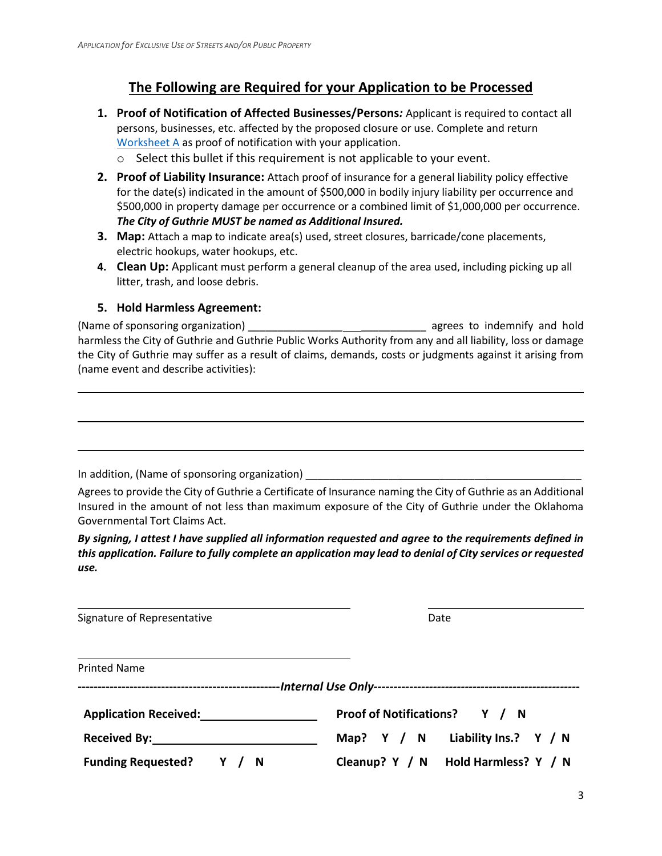### **The Following are Required for your Application to be Processed**

- **1. Proof of Notification of Affected Businesses/Persons***:* Applicant is required to contact all persons, businesses, etc. affected by the proposed closure or use. Complete and return [Worksheet A](#page-3-0) as proof of notification with your application.
	- o Select this bullet if this requirement is not applicable to your event.
- **2. Proof of Liability Insurance:** Attach proof of insurance for a general liability policy effective for the date(s) indicated in the amount of \$500,000 in bodily injury liability per occurrence and \$500,000 in property damage per occurrence or a combined limit of \$1,000,000 per occurrence. *The City of Guthrie MUST be named as Additional Insured.*
- **3. Map:** Attach a map to indicate area(s) used, street closures, barricade/cone placements, electric hookups, water hookups, etc.
- **4. Clean Up:** Applicant must perform a general cleanup of the area used, including picking up all litter, trash, and loose debris.

#### **5. Hold Harmless Agreement:**

(Name of sponsoring organization) \_\_\_\_\_\_\_\_\_\_\_\_\_\_\_\_ \_\_\_\_\_\_\_\_\_\_\_ agrees to indemnify and hold harmless the City of Guthrie and Guthrie Public Works Authority from any and all liability, loss or damage the City of Guthrie may suffer as a result of claims, demands, costs or judgments against it arising from (name event and describe activities):

In addition, (Name of sponsoring organization) \_\_\_\_\_\_\_\_\_\_

Agrees to provide the City of Guthrie a Certificate of Insurance naming the City of Guthrie as an Additional Insured in the amount of not less than maximum exposure of the City of Guthrie under the Oklahoma Governmental Tort Claims Act.

*By signing, I attest I have supplied all information requested and agree to the requirements defined in this application. Failure to fully complete an application may lead to denial of City services or requested use.*

| Signature of Representative                                                                                                                                                                                                    | Date                                  |
|--------------------------------------------------------------------------------------------------------------------------------------------------------------------------------------------------------------------------------|---------------------------------------|
| <b>Printed Name</b>                                                                                                                                                                                                            |                                       |
|                                                                                                                                                                                                                                |                                       |
|                                                                                                                                                                                                                                |                                       |
|                                                                                                                                                                                                                                |                                       |
| <b>Application Received:</b> Application Received:                                                                                                                                                                             | Proof of Notifications? Y / N         |
| Received By: the contract of the contract of the contract of the contract of the contract of the contract of the contract of the contract of the contract of the contract of the contract of the contract of the contract of t | Liability Ins.? Y / N<br>Map? $Y / N$ |
| Funding Requested? Y / N                                                                                                                                                                                                       | Cleanup? Y / N Hold Harmless? Y / N   |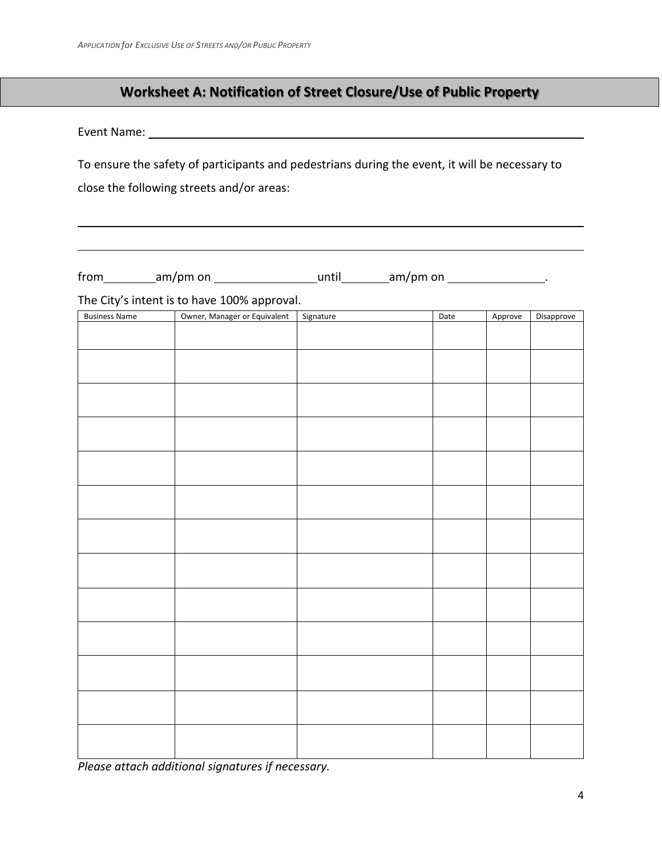## **Worksheet A: Notification of Street Closure/Use of Public Property**

<span id="page-3-0"></span>Event Name:

To ensure the safety of participants and pedestrians during the event, it will be necessary to close the following streets and/or areas:

 $from$   $am/pm$  on  $\_\_\_\_\_\$  until  $am/pm$  on  $\_\_\_\_\_\_\_\_\_\_\_\_\_\_\_\_$ 

The City's intent is to have 100% approval.

| <b>Business Name</b> | Owner, Manager or Equivalent | Signature | Date | Approve | Disapprove |
|----------------------|------------------------------|-----------|------|---------|------------|
|                      |                              |           |      |         |            |
|                      |                              |           |      |         |            |
|                      |                              |           |      |         |            |
|                      |                              |           |      |         |            |
|                      |                              |           |      |         |            |
|                      |                              |           |      |         |            |
|                      |                              |           |      |         |            |
|                      |                              |           |      |         |            |
|                      |                              |           |      |         |            |
|                      |                              |           |      |         |            |
|                      |                              |           |      |         |            |
|                      |                              |           |      |         |            |
|                      |                              |           |      |         |            |
|                      |                              |           |      |         |            |
|                      |                              |           |      |         |            |
|                      |                              |           |      |         |            |
|                      |                              |           |      |         |            |
|                      |                              |           |      |         |            |
|                      |                              |           |      |         |            |
|                      |                              |           |      |         |            |
|                      |                              |           |      |         |            |
|                      |                              |           |      |         |            |
|                      |                              |           |      |         |            |
|                      |                              |           |      |         |            |
|                      |                              |           |      |         |            |
|                      |                              |           |      |         |            |
|                      |                              |           |      |         |            |
|                      |                              |           |      |         |            |
|                      |                              |           |      |         |            |
|                      |                              |           |      |         |            |
|                      |                              |           |      |         |            |
|                      |                              |           |      |         |            |
|                      |                              |           |      |         |            |
|                      |                              |           |      |         |            |

*Please attach additional signatures if necessary.*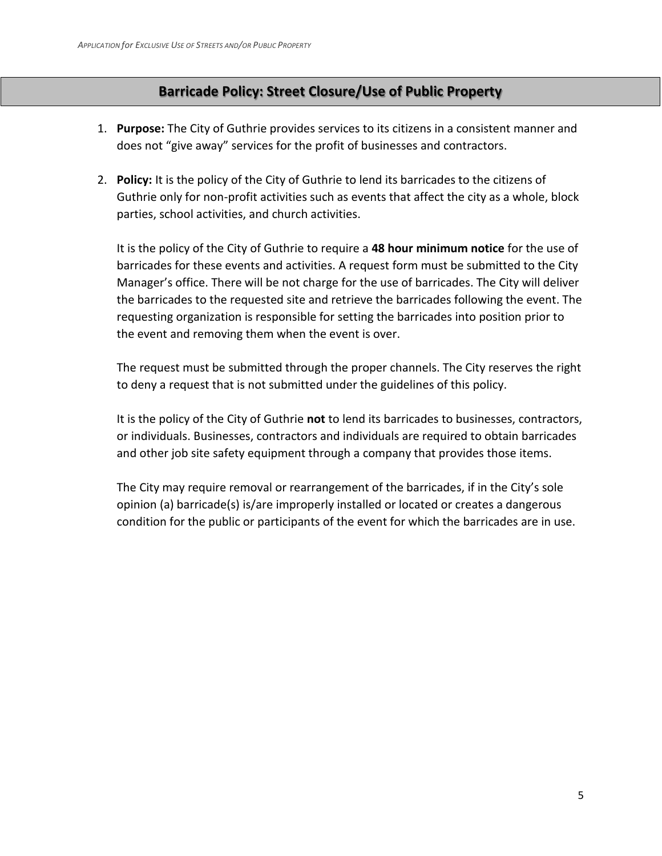#### **Barricade Policy: Street Closure/Use of Public Property**

- <span id="page-4-0"></span>1. **Purpose:** The City of Guthrie provides services to its citizens in a consistent manner and does not "give away" services for the profit of businesses and contractors.
- 2. **Policy:** It is the policy of the City of Guthrie to lend its barricades to the citizens of Guthrie only for non-profit activities such as events that affect the city as a whole, block parties, school activities, and church activities.

It is the policy of the City of Guthrie to require a **48 hour minimum notice** for the use of barricades for these events and activities. A request form must be submitted to the City Manager's office. There will be not charge for the use of barricades. The City will deliver the barricades to the requested site and retrieve the barricades following the event. The requesting organization is responsible for setting the barricades into position prior to the event and removing them when the event is over.

The request must be submitted through the proper channels. The City reserves the right to deny a request that is not submitted under the guidelines of this policy.

It is the policy of the City of Guthrie **not** to lend its barricades to businesses, contractors, or individuals. Businesses, contractors and individuals are required to obtain barricades and other job site safety equipment through a company that provides those items.

The City may require removal or rearrangement of the barricades, if in the City's sole opinion (a) barricade(s) is/are improperly installed or located or creates a dangerous condition for the public or participants of the event for which the barricades are in use.